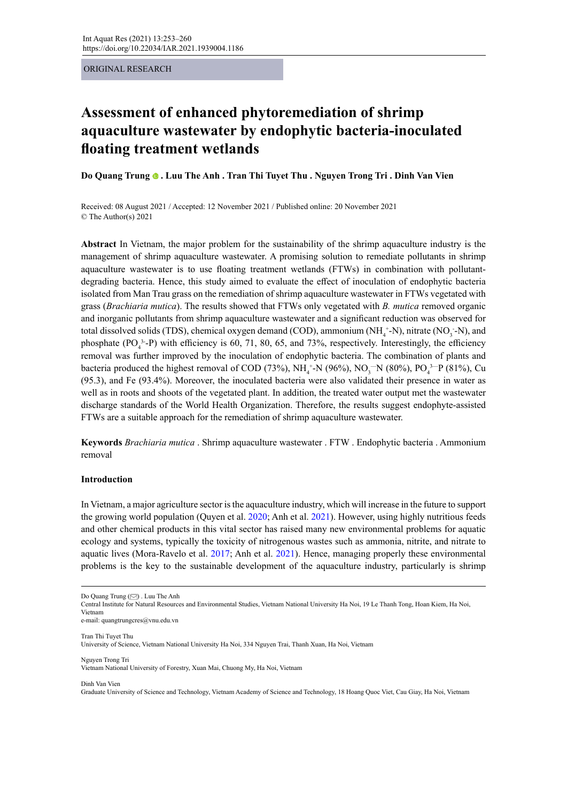ORIGINAL RESEARCH

# **Assessment of enhanced phytoremediation of shrimp aquaculture wastewater by endophytic bacteria-inoculated floating treatment wetlands**

**Do Quang Trung. Luu The Anh . Tran Thi Tuyet Thu . Nguyen Trong Tri . Dinh Van Vien**

Received: 08 August 2021 / Accepted: 12 November 2021 / Published online: 20 November 2021 © The Author(s) 2021

**Abstract** In Vietnam, the major problem for the sustainability of the shrimp aquaculture industry is the management of shrimp aquaculture wastewater. A promising solution to remediate pollutants in shrimp aquaculture wastewater is to use floating treatment wetlands (FTWs) in combination with pollutantdegrading bacteria. Hence, this study aimed to evaluate the effect of inoculation of endophytic bacteria isolated from Man Trau grass on the remediation of shrimp aquaculture wastewater in FTWs vegetated with grass (*Brachiaria mutica*). The results showed that FTWs only vegetated with *B. mutica* removed organic and inorganic pollutants from shrimp aquaculture wastewater and a significant reduction was observed for total dissolved solids (TDS), chemical oxygen demand (COD), ammonium (NH<sub>4</sub>+-N), nitrate (NO<sub>3</sub>-N), and phosphate  $(PO<sub>4</sub><sup>3</sup>-P)$  with efficiency is 60, 71, 80, 65, and 73%, respectively. Interestingly, the efficiency removal was further improved by the inoculation of endophytic bacteria. The combination of plants and bacteria produced the highest removal of COD (73%),  $NH_4^+$ -N (96%), NO<sub>3</sub><sup>-</sup>N (80%), PO<sub>4</sub><sup>3-</sup>P (81%), Cu (95.3), and Fe (93.4%). Moreover, the inoculated bacteria were also validated their presence in water as well as in roots and shoots of the vegetated plant. In addition, the treated water output met the wastewater discharge standards of the World Health Organization. Therefore, the results suggest endophyte-assisted FTWs are a suitable approach for the remediation of shrimp aquaculture wastewater.

**Keywords** *Brachiaria mutica* . Shrimp aquaculture wastewater . FTW . Endophytic bacteria . Ammonium removal

# **Introduction**

In Vietnam, a major agriculture sector is the aquaculture industry, which will increase in the future to support the growing world population (Quyen et al. 2020; Anh et al. 2021). However, using highly nutritious feeds and other chemical products in this vital sector has raised many new environmental problems for aquatic ecology and systems, typically the toxicity of nitrogenous wastes such as ammonia, nitrite, and nitrate to aquatic lives (Mora-Ravelo et al. 2017; Anh et al. 2021). Hence, managing properly these environmental problems is the key to the sustainable development of the aquaculture industry, particularly is shrimp

e-mail: quangtrungcres@vnu.edu.vn

Tran Thi Tuyet Thu University of Science, Vietnam National University Ha Noi, 334 Nguyen Trai, Thanh Xuan, Ha Noi, Vietnam

Nguyen Trong Tri Vietnam National University of Forestry, Xuan Mai, Chuong My, Ha Noi, Vietnam

Dinh Van Vien

Graduate University of Science and Technology, Vietnam Academy of Science and Technology, 18 Hoang Quoc Viet, Cau Giay, Ha Noi, Vietnam

Do Quang Trung (S[\)](mailto:quangtrungcres%40vnu.edu.vn?subject=). Luu The Anh

Central Institute for Natural Resources and Environmental Studies, Vietnam National University Ha Noi, 19 Le Thanh Tong, Hoan Kiem, Ha Noi, Vietnam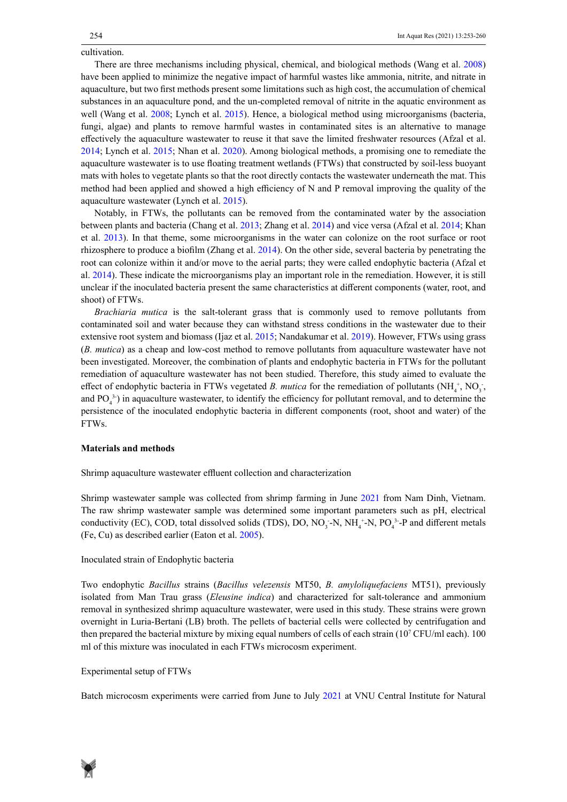cultivation.

There are three mechanisms including physical, chemical, and biological methods (Wang et al. 2008) have been applied to minimize the negative impact of harmful wastes like ammonia, nitrite, and nitrate in aquaculture, but two first methods present some limitations such as high cost, the accumulation of chemical substances in an aquaculture pond, and the un-completed removal of nitrite in the aquatic environment as well (Wang et al. 2008; Lynch et al. 2015). Hence, a biological method using microorganisms (bacteria, fungi, algae) and plants to remove harmful wastes in contaminated sites is an alternative to manage effectively the aquaculture wastewater to reuse it that save the limited freshwater resources (Afzal et al. 2014; Lynch et al. 2015; Nhan et al. 2020). Among biological methods, a promising one to remediate the aquaculture wastewater is to use floating treatment wetlands (FTWs) that constructed by soil-less buoyant mats with holes to vegetate plants so that the root directly contacts the wastewater underneath the mat. This method had been applied and showed a high efficiency of N and P removal improving the quality of the aquaculture wastewater (Lynch et al. 2015).

Notably, in FTWs, the pollutants can be removed from the contaminated water by the association between plants and bacteria (Chang et al. 2013; Zhang et al. 2014) and vice versa (Afzal et al. 2014; Khan et al. 2013). In that theme, some microorganisms in the water can colonize on the root surface or root rhizosphere to produce a biofilm (Zhang et al. 2014). On the other side, several bacteria by penetrating the root can colonize within it and/or move to the aerial parts; they were called endophytic bacteria (Afzal et al. 2014). These indicate the microorganisms play an important role in the remediation. However, it is still unclear if the inoculated bacteria present the same characteristics at different components (water, root, and shoot) of FTWs.

*Brachiaria mutica* is the salt-tolerant grass that is commonly used to remove pollutants from contaminated soil and water because they can withstand stress conditions in the wastewater due to their extensive root system and biomass (Ijaz et al. 2015; Nandakumar et al. 2019). However, FTWs using grass (*B. mutica*) as a cheap and low-cost method to remove pollutants from aquaculture wastewater have not been investigated. Moreover, the combination of plants and endophytic bacteria in FTWs for the pollutant remediation of aquaculture wastewater has not been studied. Therefore, this study aimed to evaluate the effect of endophytic bacteria in FTWs vegetated *B*. *mutica* for the remediation of pollutants  $(NH_4^+, NO_3^-,$ and  $PO_4^3$ ) in aquaculture wastewater, to identify the efficiency for pollutant removal, and to determine the persistence of the inoculated endophytic bacteria in different components (root, shoot and water) of the FTWs.

### **Materials and methods**

Shrimp aquaculture wastewater effluent collection and characterization

Shrimp wastewater sample was collected from shrimp farming in June 2021 from Nam Dinh, Vietnam. The raw shrimp wastewater sample was determined some important parameters such as pH, electrical conductivity (EC), COD, total dissolved solids (TDS), DO,  $NO_3$ -N,  $NH_4^+$ -N,  $PO_4^3$ -P and different metals (Fe, Cu) as described earlier (Eaton et al. 2005).

# Inoculated strain of Endophytic bacteria

Two endophytic *Bacillus* strains (*Bacillus velezensis* MT50, *B. amyloliquefaciens* MT51), previously isolated from Man Trau grass (*Eleusine indica*) and characterized for salt-tolerance and ammonium removal in synthesized shrimp aquaculture wastewater, were used in this study. These strains were grown overnight in Luria-Bertani (LB) broth. The pellets of bacterial cells were collected by centrifugation and then prepared the bacterial mixture by mixing equal numbers of cells of each strain (10<sup>7</sup> CFU/ml each). 100 ml of this mixture was inoculated in each FTWs microcosm experiment.

# Experimental setup of FTWs

Batch microcosm experiments were carried from June to July 2021 at VNU Central Institute for Natural

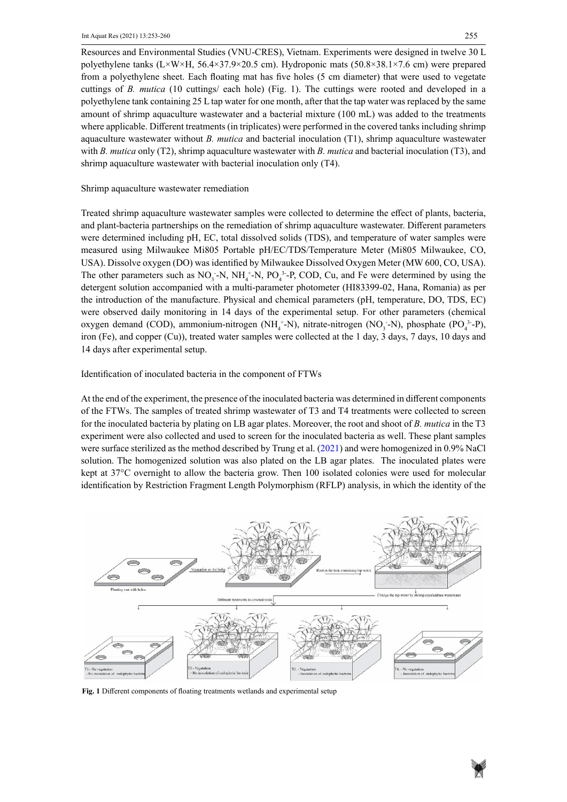Resources and Environmental Studies (VNU-CRES), Vietnam. Experiments were designed in twelve 30 L polyethylene tanks (L×W×H, 56.4×37.9×20.5 cm). Hydroponic mats (50.8×38.1×7.6 cm) were prepared from a polyethylene sheet. Each floating mat has five holes (5 cm diameter) that were used to vegetate cuttings of *B. mutica* (10 cuttings/ each hole) (Fig. 1). The cuttings were rooted and developed in a polyethylene tank containing 25 L tap water for one month, after that the tap water was replaced by the same amount of shrimp aquaculture wastewater and a bacterial mixture (100 mL) was added to the treatments where applicable. Different treatments (in triplicates) were performed in the covered tanks including shrimp aquaculture wastewater without *B. mutica* and bacterial inoculation (T1), shrimp aquaculture wastewater with *B. mutica* only (T2), shrimp aquaculture wastewater with *B. mutica* and bacterial inoculation (T3), and shrimp aquaculture wastewater with bacterial inoculation only (T4).

# Shrimp aquaculture wastewater remediation

Treated shrimp aquaculture wastewater samples were collected to determine the effect of plants, bacteria, and plant-bacteria partnerships on the remediation of shrimp aquaculture wastewater. Different parameters were determined including pH, EC, total dissolved solids (TDS), and temperature of water samples were measured using Milwaukee Mi805 Portable pH/EC/TDS/Temperature Meter (Mi805 Milwaukee, CO, USA). Dissolve oxygen (DO) was identified by Milwaukee Dissolved Oxygen Meter (MW 600, CO, USA). The other parameters such as  $NO_3$ -N,  $NH_4$ <sup>+</sup>-N,  $PO_4$ <sup>3</sup>-P, COD, Cu, and Fe were determined by using the detergent solution accompanied with a multi-parameter photometer (HI83399-02, Hana, Romania) as per the introduction of the manufacture. Physical and chemical parameters (pH, temperature, DO, TDS, EC) were observed daily monitoring in 14 days of the experimental setup. For other parameters (chemical oxygen demand (COD), ammonium-nitrogen (NH<sub>4</sub>+N), nitrate-nitrogen (NO<sub>3</sub>-N), phosphate (PO<sub>4</sub><sup>3</sup>-P), iron (Fe), and copper (Cu)), treated water samples were collected at the 1 day, 3 days, 7 days, 10 days and 14 days after experimental setup.

# Identification of inoculated bacteria in the component of FTWs

At the end of the experiment, the presence of the inoculated bacteria was determined in different components of the FTWs. The samples of treated shrimp wastewater of T3 and T4 treatments were collected to screen for the inoculated bacteria by plating on LB agar plates. Moreover, the root and shoot of *B. mutica* in the T3 experiment were also collected and used to screen for the inoculated bacteria as well. These plant samples were surface sterilized as the method described by Trung et al. (2021) and were homogenized in 0.9% NaCl solution. The homogenized solution was also plated on the LB agar plates. The inoculated plates were kept at 37°C overnight to allow the bacteria grow. Then 100 isolated colonies were used for molecular identification by Restriction Fragment Length Polymorphism (RFLP) analysis, in which the identity of the



**Fig. 1** Different components of floating treatments wetlands and experimental setup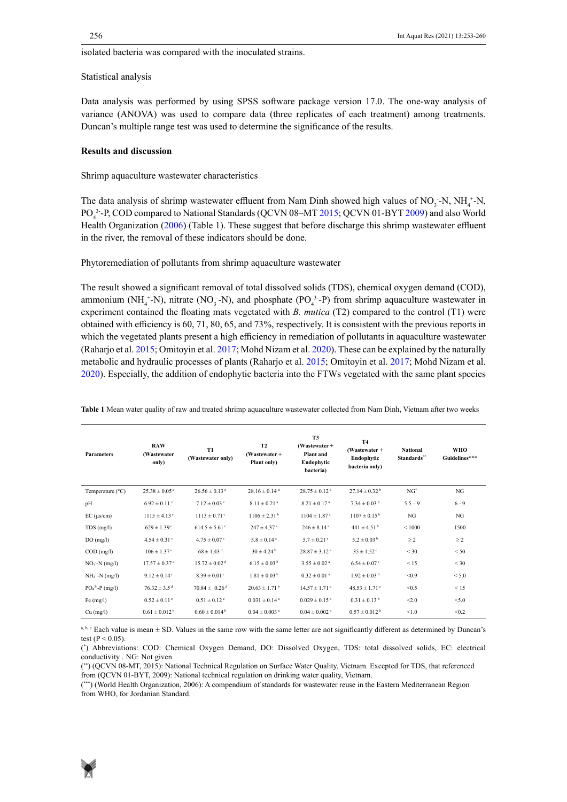isolated bacteria was compared with the inoculated strains.

Statistical analysis

Data analysis was performed by using SPSS software package version 17.0. The one-way analysis of variance (ANOVA) was used to compare data (three replicates of each treatment) among treatments. Duncan's multiple range test was used to determine the significance of the results.

# **Results and discussion**

Shrimp aquaculture wastewater characteristics

The data analysis of shrimp wastewater effluent from Nam Dinh showed high values of  $NO_3$ -N, NH<sub>4</sub><sup>+</sup>-N, PO<sub>4</sub><sup>3</sup>-P, COD compared to National Standards (QCVN 08–MT 2015; QCVN 01-BYT 2009) and also World Health Organization (2006) (Table 1). These suggest that before discharge this shrimp wastewater effluent in the river, the removal of these indicators should be done.

Phytoremediation of pollutants from shrimp aquaculture wastewater

The result showed a significant removal of total dissolved solids (TDS), chemical oxygen demand (COD), ammonium (NH<sub>4</sub><sup>+</sup>-N), nitrate (NO<sub>3</sub> -N), and phosphate (PO<sub>4</sub><sup>3</sup>-P) from shrimp aquaculture wastewater in experiment contained the floating mats vegetated with *B. mutica* (T2) compared to the control (T1) were obtained with efficiency is 60, 71, 80, 65, and 73%, respectively. It is consistent with the previous reports in which the vegetated plants present a high efficiency in remediation of pollutants in aquaculture wastewater (Raharjo et al. 2015; Omitoyin et al. 2017; Mohd Nizam et al. 2020). These can be explained by the naturally metabolic and hydraulic processes of plants (Raharjo et al. 2015; Omitoyin et al. 2017; Mohd Nizam et al. 2020). Especially, the addition of endophytic bacteria into the FTWs vegetated with the same plant species

| <b>Parameters</b>  | <b>RAW</b><br>(Wastewater<br>only) | <b>T1</b><br>(Wastewater only) | <b>T2</b><br>$(Wastewater +$<br>Plant only) | <b>T3</b><br>$(Wastexact +$<br>Plant and<br>Endophytic<br>bacteria) | <b>T4</b><br>$(Wastewater +$<br>Endophytic<br>bacteria only) | <b>National</b><br>Standards" | WHO<br>Guidelines*** |
|--------------------|------------------------------------|--------------------------------|---------------------------------------------|---------------------------------------------------------------------|--------------------------------------------------------------|-------------------------------|----------------------|
| Temperature (°C)   | $25.38 \pm 0.05$ °                 | $26.56 \pm 0.13$ °             | $28.16 \pm 0.14$ <sup>a</sup>               | $28.75 \pm 0.12$ <sup>a</sup>                                       | $27.14 \pm 0.32^{\mathrm{b}}$                                | $NG^*$                        | NG                   |
| pH                 | $6.92 \pm 0.11$ °                  | $7.12 \pm 0.03$ °              | $8.11 \pm 0.21$ <sup>a</sup>                | $8.21 \pm 0.17^{\text{a}}$                                          | $7.34 \pm 0.03^{\mathrm{b}}$                                 | $5.5 - 9$                     | $6 - 9$              |
| $EC$ ( $\mu$ s/cm) | $1115 \pm 4.13$ <sup>c</sup>       | $1113 \pm 0.71$ <sup>c</sup>   | $1106 \pm 2.31^{\mathrm{b}}$                | $1104 \pm 1.87$ <sup>a</sup>                                        | $1107 \pm 0.15^{\mathrm{b}}$                                 | NG                            | <b>NG</b>            |
| TDS(mg/l)          | $629 \pm 1.39$ <sup>c</sup>        | $614.5 \pm 5.61$ °             | $247 \pm 4.37$ <sup>a</sup>                 | $246 \pm 8.14$ <sup>a</sup>                                         | $441 \pm 4.51$ <sup>b</sup>                                  | ${}< 1000$                    | 1500                 |
| DO(mg/l)           | $4.54 \pm 0.31$ °                  | $4.75 \pm 0.07$ °              | $5.8 \pm 0.14$ <sup>a</sup>                 | $5.7 \pm 0.21$ <sup>a</sup>                                         | $5.2 \pm 0.03^{\mathrm{b}}$                                  | $\geq$ 2                      | $\geq$ 2             |
| $COD$ (mg/l)       | $106 \pm 1.37$ <sup>e</sup>        | $68 \pm 1.43$ <sup>d</sup>     | $30 \pm 4.24^{\mathrm{b}}$                  | $28.87 \pm 3.12$ <sup>a</sup>                                       | $35 \pm 1.52$ <sup>c</sup>                                   | $<$ 30                        | < 50                 |
| $NO3$ -N (mg/l)    | $17.57 \pm 0.37$ °                 | $15.72 \pm 0.02$ <sup>d</sup>  | $6.15 \pm 0.03^{\mathrm{b}}$                | $3.55 \pm 0.02$ <sup>a</sup>                                        | $6.54 \pm 0.07$ <sup>c</sup>                                 | < 15                          | $<$ 30               |
| $NH_4^+$ -N (mg/l) | $9.12 \pm 0.14$ <sup>c</sup>       | $8.39 \pm 0.01$ <sup>c</sup>   | $1.81 \pm 0.03^{\mathrm{b}}$                | $0.32 \pm 0.01$ <sup>a</sup>                                        | $1.92 \pm 0.03^{\mathrm{b}}$                                 | < 0.9                         | < 5.0                |
| $PO43 - P (mg/l)$  | $76.32 \pm 3.5$ <sup>d</sup>       | $70.84 \pm 0.26$ <sup>d</sup>  | $20.63 \pm 1.71^{\mathrm{b}}$               | $14.57 \pm 1.71$ <sup>a</sup>                                       | $48.53 \pm 1.71$ °                                           | < 0.5                         | < 15                 |
| Fe (mg/l)          | $0.52 \pm 0.11$ <sup>c</sup>       | $0.51 \pm 0.12$ <sup>c</sup>   | $0.031 \pm 0.14$ <sup>a</sup>               | $0.029 \pm 0.15$ <sup>a</sup>                                       | $0.31 \pm 0.13^{\mathrm{b}}$                                 | < 2.0                         | < 5.0                |
| $Cu$ (mg/l)        | $0.61 \pm 0.012^{\mathrm{b}}$      | $0.60 \pm 0.014^{\mathrm{b}}$  | $0.04 \pm 0.003$ <sup>a</sup>               | $0.04 \pm 0.002$ <sup>a</sup>                                       | $0.57 \pm 0.012^{\mathrm{b}}$                                | < 1.0                         | < 0.2                |

Table 1 Mean water quality of raw and treated shrimp aquaculture wastewater collected from Nam Dinh, Vietnam after two weeks

a, b, c Each value is mean ± SD. Values in the same row with the same letter are not significantly different as determined by Duncan's test ( $P < 0.05$ ).

(\* ) Abbreviations: COD: Chemical Oxygen Demand, DO: Dissolved Oxygen, TDS: total dissolved solids, EC: electrical conductivity . NG: Not given

( \*\*) (QCVN 08-MT, 2015): National Technical Regulation on Surface Water Quality, Vietnam. Excepted for TDS, that referenced from (QCVN 01-BYT, 2009): National technical regulation on drinking water quality, Vietnam.

(\*\*\*) (World Health Organization, 2006): A compendium of standards for wastewater reuse in the Eastern Mediterranean Region from WHO, for Jordanian Standard.

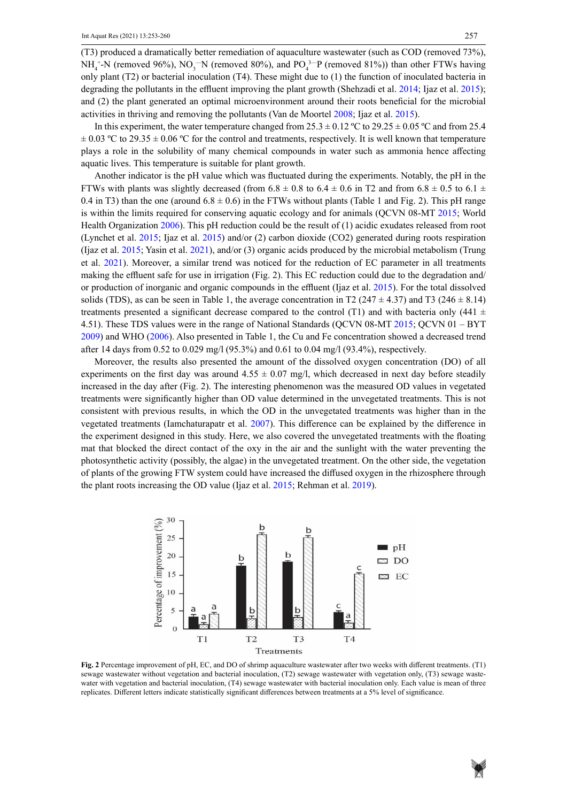(T3) produced a dramatically better remediation of aquaculture wastewater (such as COD (removed 73%),  $NH_4^+$ -N (removed 96%),  $NO_3^-N$  (removed 80%), and  $PO_4^{\,3-}P$  (removed 81%)) than other FTWs having only plant (T2) or bacterial inoculation (T4). These might due to (1) the function of inoculated bacteria in degrading the pollutants in the effluent improving the plant growth (Shehzadi et al. 2014; Ijaz et al. 2015); and (2) the plant generated an optimal microenvironment around their roots beneficial for the microbial activities in thriving and removing the pollutants (Van de Moortel 2008; Ijaz et al. 2015).

In this experiment, the water temperature changed from 25.3  $\pm$  0.12 °C to 29.25  $\pm$  0.05 °C and from 25.4  $\pm 0.03$  °C to 29.35  $\pm 0.06$  °C for the control and treatments, respectively. It is well known that temperature plays a role in the solubility of many chemical compounds in water such as ammonia hence affecting aquatic lives. This temperature is suitable for plant growth.

Another indicator is the pH value which was fluctuated during the experiments. Notably, the pH in the FTWs with plants was slightly decreased (from  $6.8 \pm 0.8$  to  $6.4 \pm 0.6$  in T2 and from  $6.8 \pm 0.5$  to  $6.1 \pm 0.6$ 0.4 in T3) than the one (around  $6.8 \pm 0.6$ ) in the FTWs without plants (Table 1 and Fig. 2). This pH range is within the limits required for conserving aquatic ecology and for animals (QCVN 08-MT 2015; World Health Organization 2006). This pH reduction could be the result of (1) acidic exudates released from root (Lynchet et al. 2015; Ijaz et al. 2015) and/or (2) carbon dioxide (CO2) generated during roots respiration (Ijaz et al. 2015; Yasin et al. 2021), and/or (3) organic acids produced by the microbial metabolism (Trung et al. 2021). Moreover, a similar trend was noticed for the reduction of EC parameter in all treatments making the effluent safe for use in irrigation (Fig. 2). This EC reduction could due to the degradation and/ or production of inorganic and organic compounds in the effluent (Ijaz et al. 2015). For the total dissolved solids (TDS), as can be seen in Table 1, the average concentration in T2 (247  $\pm$  4.37) and T3 (246  $\pm$  8.14) treatments presented a significant decrease compared to the control (T1) and with bacteria only (441  $\pm$ 4.51). These TDS values were in the range of National Standards (QCVN 08-MT 2015; QCVN 01 – BYT 2009) and WHO (2006). Also presented in Table 1, the Cu and Fe concentration showed a decreased trend after 14 days from 0.52 to 0.029 mg/l (95.3%) and 0.61 to 0.04 mg/l (93.4%), respectively.

Moreover, the results also presented the amount of the dissolved oxygen concentration (DO) of all experiments on the first day was around  $4.55 \pm 0.07$  mg/l, which decreased in next day before steadily increased in the day after (Fig. 2). The interesting phenomenon was the measured OD values in vegetated treatments were significantly higher than OD value determined in the unvegetated treatments. This is not consistent with previous results, in which the OD in the unvegetated treatments was higher than in the vegetated treatments (Iamchaturapatr et al. 2007). This difference can be explained by the difference in the experiment designed in this study. Here, we also covered the unvegetated treatments with the floating mat that blocked the direct contact of the oxy in the air and the sunlight with the water preventing the photosynthetic activity (possibly, the algae) in the unvegetated treatment. On the other side, the vegetation of plants of the growing FTW system could have increased the diffused oxygen in the rhizosphere through the plant roots increasing the OD value (Ijaz et al. 2015; Rehman et al. 2019).



sewage wastewater without vegetation and bacterial inoculation,  $(T2)$  sewage wastewater with vegetation only,  $(T3)$  sewage wastewater with vegetation and bacterial inoculation, (T4) sewage wastewater with bacterial inoculation only. Each value is mean of three replicates. Different letters indicate statistically significant differences between treatments at a 5% level of significance. **Fig. 2** Percentage improvement of pH, EC, and DO of shrimp aquaculture wastewater after two weeks with different treatments. (T1)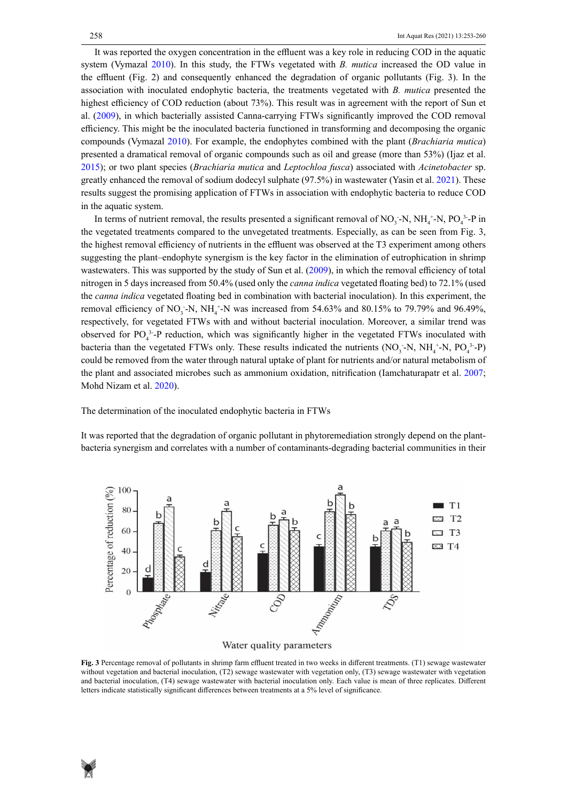It was reported the oxygen concentration in the effluent was a key role in reducing COD in the aquatic system (Vymazal 2010). In this study, the FTWs vegetated with *B. mutica* increased the OD value in the effluent (Fig. 2) and consequently enhanced the degradation of organic pollutants (Fig. 3). In the association with inoculated endophytic bacteria, the treatments vegetated with *B. mutica* presented the highest efficiency of COD reduction (about 73%). This result was in agreement with the report of Sun et al. (2009), in which bacterially assisted Canna-carrying FTWs significantly improved the COD removal efficiency. This might be the inoculated bacteria functioned in transforming and decomposing the organic compounds (Vymazal 2010). For example, the endophytes combined with the plant (*Brachiaria mutica*) presented a dramatical removal of organic compounds such as oil and grease (more than 53%) (Ijaz et al. 2015); or two plant species (*Brachiaria mutica* and *Leptochloa fusca*) associated with *Acinetobacter* sp. greatly enhanced the removal of sodium dodecyl sulphate (97.5%) in wastewater (Yasin et al. 2021). These results suggest the promising application of FTWs in association with endophytic bacteria to reduce COD in the aquatic system.

In terms of nutrient removal, the results presented a significant removal of  $NO_3$ -N,  $NH_4$ <sup>+</sup>-N,  $PO_4$ <sup>3</sup>-P in the vegetated treatments compared to the unvegetated treatments. Especially, as can be seen from Fig. 3, the highest removal efficiency of nutrients in the effluent was observed at the T3 experiment among others suggesting the plant–endophyte synergism is the key factor in the elimination of eutrophication in shrimp wastewaters. This was supported by the study of Sun et al. (2009), in which the removal efficiency of total nitrogen in 5 days increased from 50.4% (used only the *canna indica* vegetated floating bed) to 72.1% (used the *canna indica* vegetated floating bed in combination with bacterial inoculation). In this experiment, the removal efficiency of NO<sub>3</sub>-N, NH<sub>4</sub><sup>+</sup>-N was increased from 54.63% and 80.15% to 79.79% and 96.49%, respectively, for vegetated FTWs with and without bacterial inoculation. Moreover, a similar trend was observed for  $PO_4^3$ -P reduction, which was significantly higher in the vegetated FTWs inoculated with bacteria than the vegetated FTWs only. These results indicated the nutrients  $(NO_3-N, NH_4^+N, PO_4^{3-}P)$ could be removed from the water through natural uptake of plant for nutrients and/or natural metabolism of the plant and associated microbes such as ammonium oxidation, nitrification (Iamchaturapatr et al. 2007; Mohd Nizam et al. 2020).

The determination of the inoculated endophytic bacteria in FTWs

It was reported that the degradation of organic pollutant in phytoremediation strongly depend on the plantbacteria synergism and correlates with a number of contaminants-degrading bacterial communities in their



Water quality parameters

without vegetation and bacterial inoculation, (T2) sewage wastewater with vegetation only, (T3) sewage wastewater with vegetation and bacterial inoculation, (T4) sewage wastewater with bacterial inoculation only. Each value is mean of three replicates. Different letters indicate statistically significant differences between treatments at a  $5%$  level of significance. letters indicate statistically significant differences between treatments at a 5% level of significance. **Fig. 3** Percentage removal of pollutants in shrimp farm effluent treated in two weeks in different treatments. (T1) sewage wastewater

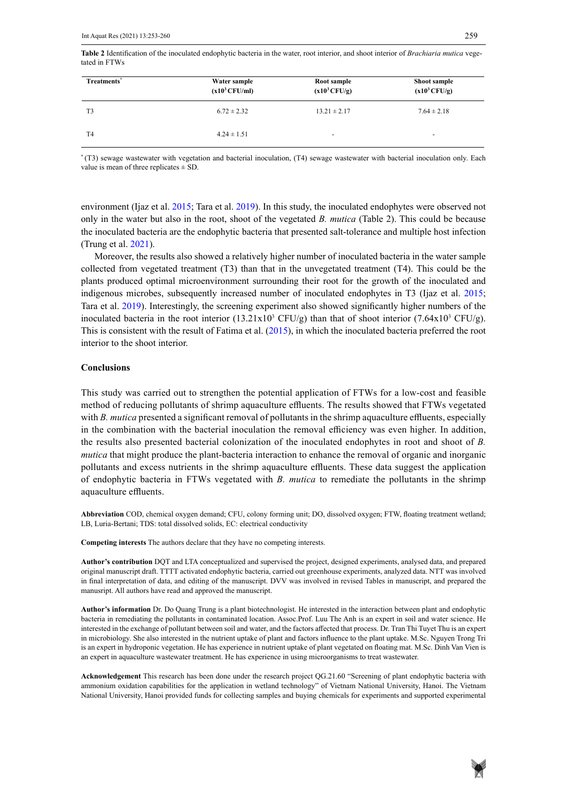Table 2 Identification of the inoculated endophytic bacteria in the water, root interior, and shoot interior of *Brachiaria mutica* vegetated in FTWs

| Treatments <sup>*</sup> | Water sample<br>$(x10^3 CFU/ml)$ | Root sample<br>$(x10^3 CFU/g)$ | Shoot sample<br>$(x10^3 CFU/g)$ |
|-------------------------|----------------------------------|--------------------------------|---------------------------------|
| T <sub>3</sub>          | $6.72 \pm 2.32$                  | $13.21 \pm 2.17$               | $7.64 \pm 2.18$                 |
| T <sub>4</sub>          | $4.24 \pm 1.51$                  | ۰                              | $\overline{\phantom{a}}$        |

\*(T3) sewage wastewater with vegetation and bacterial inoculation, (T4) sewage wastewater with bacterial inoculation only. Each value is mean of three replicates  $\pm$  SD.

environment (Ijaz et al. 2015; Tara et al. 2019). In this study, the inoculated endophytes were observed not only in the water but also in the root, shoot of the vegetated *B. mutica* (Table 2). This could be because the inoculated bacteria are the endophytic bacteria that presented salt-tolerance and multiple host infection (Trung et al. 2021).

Moreover, the results also showed a relatively higher number of inoculated bacteria in the water sample collected from vegetated treatment (T3) than that in the unvegetated treatment (T4). This could be the plants produced optimal microenvironment surrounding their root for the growth of the inoculated and indigenous microbes, subsequently increased number of inoculated endophytes in T3 (Ijaz et al. 2015; Tara et al. 2019). Interestingly, the screening experiment also showed significantly higher numbers of the inoculated bacteria in the root interior  $(13.21 \times 10^3 \text{ CFU/g})$  than that of shoot interior  $(7.64 \times 10^3 \text{ CFU/g})$ . This is consistent with the result of Fatima et al. (2015), in which the inoculated bacteria preferred the root interior to the shoot interior.

## **Conclusions**

This study was carried out to strengthen the potential application of FTWs for a low-cost and feasible method of reducing pollutants of shrimp aquaculture effluents. The results showed that FTWs vegetated with *B. mutica* presented a significant removal of pollutants in the shrimp aquaculture effluents, especially in the combination with the bacterial inoculation the removal efficiency was even higher. In addition, the results also presented bacterial colonization of the inoculated endophytes in root and shoot of *B. mutica* that might produce the plant-bacteria interaction to enhance the removal of organic and inorganic pollutants and excess nutrients in the shrimp aquaculture effluents. These data suggest the application of endophytic bacteria in FTWs vegetated with *B. mutica* to remediate the pollutants in the shrimp aquaculture effluents.

**Abbreviation** COD, chemical oxygen demand; CFU, colony forming unit; DO, dissolved oxygen; FTW, floating treatment wetland; LB, Luria-Bertani; TDS: total dissolved solids, EC: electrical conductivity

**Competing interests** The authors declare that they have no competing interests.

**Author's contribution** DQT and LTA conceptualized and supervised the project, designed experiments, analysed data, and prepared original manuscript draft. TTTT activated endophytic bacteria, carried out greenhouse experiments, analyzed data. NTT was involved in final interpretation of data, and editing of the manuscript. DVV was involved in revised Tables in manuscript, and prepared the manusript. All authors have read and approved the manuscript.

**Author's information** Dr. Do Quang Trung is a plant biotechnologist. He interested in the interaction between plant and endophytic bacteria in remediating the pollutants in contaminated location. Assoc.Prof. Luu The Anh is an expert in soil and water science. He interested in the exchange of pollutant between soil and water, and the factors affected that process. Dr. Tran Thi Tuyet Thu is an expert in microbiology. She also interested in the nutrient uptake of plant and factors influence to the plant uptake. M.Sc. Nguyen Trong Tri is an expert in hydroponic vegetation. He has experience in nutrient uptake of plant vegetated on floating mat. M.Sc. Dinh Van Vien is an expert in aquaculture wastewater treatment. He has experience in using microorganisms to treat wastewater.

**Acknowledgement** This research has been done under the research project QG.21.60 "Screening of plant endophytic bacteria with ammonium oxidation capabilities for the application in wetland technology" of Vietnam National University, Hanoi. The Vietnam National University, Hanoi provided funds for collecting samples and buying chemicals for experiments and supported experimental